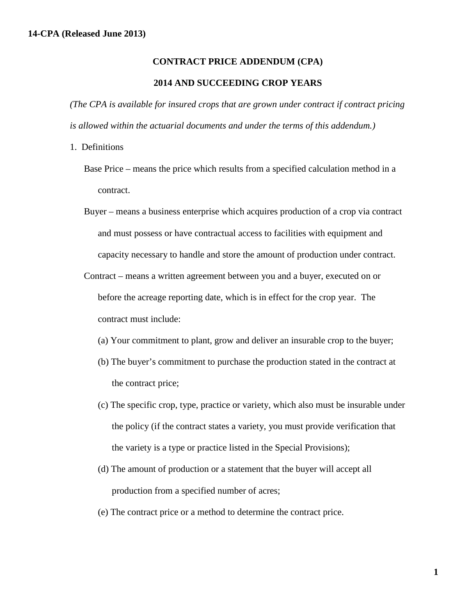## **CONTRACT PRICE ADDENDUM (CPA)**

## **2014 AND SUCCEEDING CROP YEARS**

*(The CPA is available for insured crops that are grown under contract if contract pricing is allowed within the actuarial documents and under the terms of this addendum.)*

- 1. Definitions
	- Base Price means the price which results from a specified calculation method in a contract.
	- Buyer means a business enterprise which acquires production of a crop via contract and must possess or have contractual access to facilities with equipment and capacity necessary to handle and store the amount of production under contract.
	- Contract means a written agreement between you and a buyer, executed on or before the acreage reporting date, which is in effect for the crop year. The contract must include:
		- (a) Your commitment to plant, grow and deliver an insurable crop to the buyer;
		- (b) The buyer's commitment to purchase the production stated in the contract at the contract price;
		- (c) The specific crop, type, practice or variety, which also must be insurable under the policy (if the contract states a variety, you must provide verification that the variety is a type or practice listed in the Special Provisions);
		- (d) The amount of production or a statement that the buyer will accept all production from a specified number of acres;
		- (e) The contract price or a method to determine the contract price.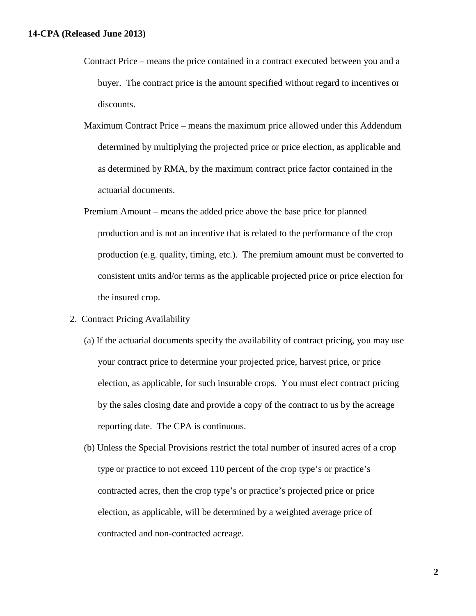- Contract Price means the price contained in a contract executed between you and a buyer. The contract price is the amount specified without regard to incentives or discounts.
- Maximum Contract Price means the maximum price allowed under this Addendum determined by multiplying the projected price or price election, as applicable and as determined by RMA, by the maximum contract price factor contained in the actuarial documents.
- Premium Amount means the added price above the base price for planned production and is not an incentive that is related to the performance of the crop production (e.g. quality, timing, etc.). The premium amount must be converted to consistent units and/or terms as the applicable projected price or price election for the insured crop.
- 2. Contract Pricing Availability
	- (a) If the actuarial documents specify the availability of contract pricing, you may use your contract price to determine your projected price, harvest price, or price election, as applicable, for such insurable crops. You must elect contract pricing by the sales closing date and provide a copy of the contract to us by the acreage reporting date. The CPA is continuous.
	- (b) Unless the Special Provisions restrict the total number of insured acres of a crop type or practice to not exceed 110 percent of the crop type's or practice's contracted acres, then the crop type's or practice's projected price or price election, as applicable, will be determined by a weighted average price of contracted and non-contracted acreage.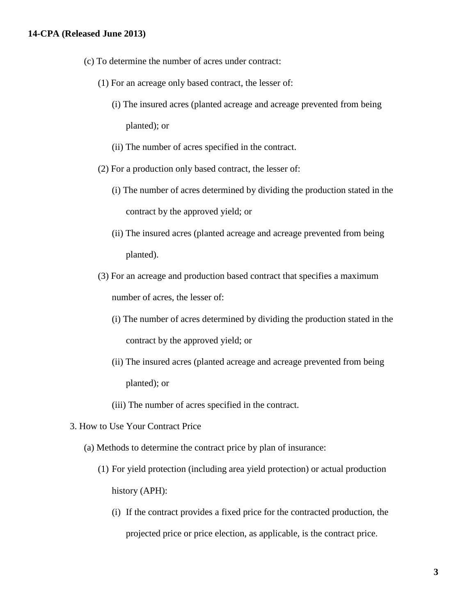## **14-CPA (Released June 2013)**

- (c) To determine the number of acres under contract:
	- (1) For an acreage only based contract, the lesser of:
		- (i) The insured acres (planted acreage and acreage prevented from being planted); or
		- (ii) The number of acres specified in the contract.
	- (2) For a production only based contract, the lesser of:
		- (i) The number of acres determined by dividing the production stated in the contract by the approved yield; or
		- (ii) The insured acres (planted acreage and acreage prevented from being planted).
	- (3) For an acreage and production based contract that specifies a maximum number of acres, the lesser of:
		- (i) The number of acres determined by dividing the production stated in the contract by the approved yield; or
		- (ii) The insured acres (planted acreage and acreage prevented from being planted); or
		- (iii) The number of acres specified in the contract.
- 3. How to Use Your Contract Price
	- (a) Methods to determine the contract price by plan of insurance:
		- (1) For yield protection (including area yield protection) or actual production history (APH):
			- (i) If the contract provides a fixed price for the contracted production, the projected price or price election, as applicable, is the contract price.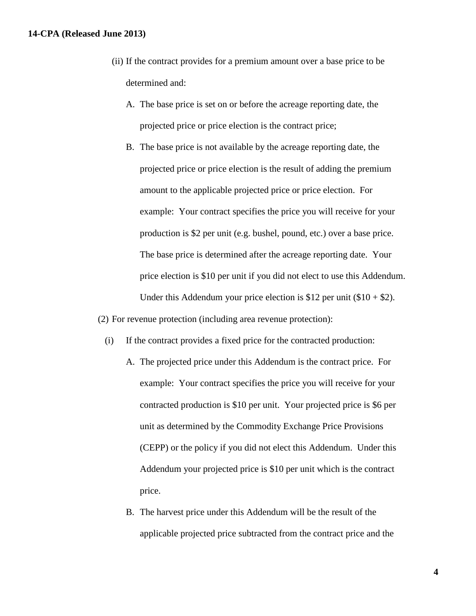## **14-CPA (Released June 2013)**

- (ii) If the contract provides for a premium amount over a base price to be determined and:
	- A. The base price is set on or before the acreage reporting date, the projected price or price election is the contract price;
	- B. The base price is not available by the acreage reporting date, the projected price or price election is the result of adding the premium amount to the applicable projected price or price election. For example: Your contract specifies the price you will receive for your production is \$2 per unit (e.g. bushel, pound, etc.) over a base price. The base price is determined after the acreage reporting date. Your price election is \$10 per unit if you did not elect to use this Addendum. Under this Addendum your price election is \$12 per unit  $(\$10 + \$2)$ .

(2) For revenue protection (including area revenue protection):

- (i) If the contract provides a fixed price for the contracted production:
	- A. The projected price under this Addendum is the contract price. For example: Your contract specifies the price you will receive for your contracted production is \$10 per unit. Your projected price is \$6 per unit as determined by the Commodity Exchange Price Provisions (CEPP) or the policy if you did not elect this Addendum. Under this Addendum your projected price is \$10 per unit which is the contract price.
	- B. The harvest price under this Addendum will be the result of the applicable projected price subtracted from the contract price and the

**4**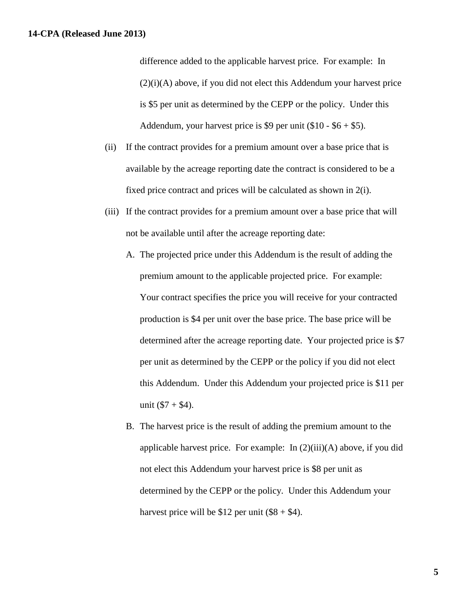difference added to the applicable harvest price. For example: In (2)(i)(A) above, if you did not elect this Addendum your harvest price is \$5 per unit as determined by the CEPP or the policy. Under this Addendum, your harvest price is \$9 per unit  $(\$10 - \$6 + \$5)$ .

- (ii) If the contract provides for a premium amount over a base price that is available by the acreage reporting date the contract is considered to be a fixed price contract and prices will be calculated as shown in 2(i).
- (iii) If the contract provides for a premium amount over a base price that will not be available until after the acreage reporting date:
	- A. The projected price under this Addendum is the result of adding the premium amount to the applicable projected price. For example: Your contract specifies the price you will receive for your contracted production is \$4 per unit over the base price. The base price will be determined after the acreage reporting date. Your projected price is \$7 per unit as determined by the CEPP or the policy if you did not elect this Addendum. Under this Addendum your projected price is \$11 per unit  $(\$7 + \$4)$ .
	- B. The harvest price is the result of adding the premium amount to the applicable harvest price. For example: In  $(2)(iii)(A)$  above, if you did not elect this Addendum your harvest price is \$8 per unit as determined by the CEPP or the policy. Under this Addendum your harvest price will be  $$12$  per unit (\$8 + \$4).

**5**